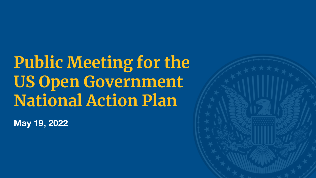**Public Meeting for the US Open Government National Action Plan**

**May 19, 2022**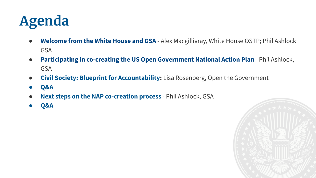

- **Welcome from the White House and GSA** Alex Macgillivray, White House OSTP; Phil Ashlock GSA
- **Participating in co-creating the US Open Government National Action Plan**  Phil Ashlock, GSA
- **● Civil Society: Blueprint for Accountability:** Lisa Rosenberg, Open the Government
- **● Q&A**
- **Next steps on the NAP co-creation process** Phil Ashlock, GSA
- **● Q&A**

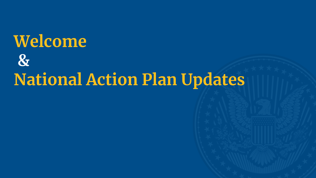# **Welcome & National Action Plan Updates**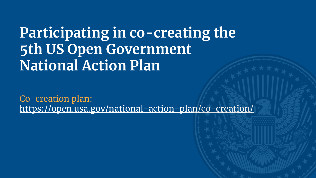## **Participating in co-creating the 5th US Open Government National Action Plan**

Co-creation plan: https://open.usa.gov/national-action-plan/co-creation/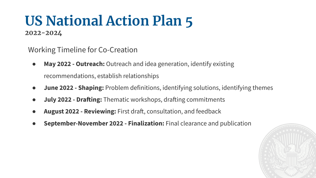### **US National Action Plan 5 2022-2024**

Working Timeline for Co-Creation

- **May 2022 Outreach:** Outreach and idea generation, identify existing recommendations, establish relationships
- **June 2022 Shaping:** Problem definitions, identifying solutions, identifying themes
- **July 2022 Drafting:** Thematic workshops, drafting commitments
- **August 2022 Reviewing:** First draft, consultation, and feedback
- **September-November 2022 Finalization:** Final clearance and publication

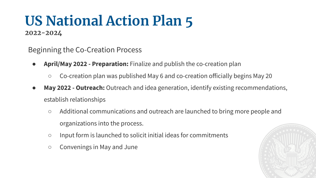# **US National Action Plan 5**

**2022-2024**

Beginning the Co-Creation Process

- **April/May 2022 Preparation:** Finalize and publish the co-creation plan
	- Co-creation plan was published May 6 and co-creation officially begins May 20
- **May 2022 Outreach:** Outreach and idea generation, identify existing recommendations, establish relationships
	- Additional communications and outreach are launched to bring more people and organizations into the process.
	- Input form is launched to solicit initial ideas for commitments
	- Convenings in May and June

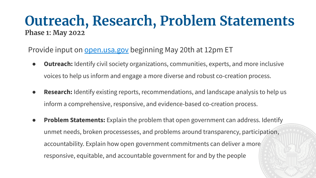### **Outreach, Research, Problem Statements Phase 1: May 2022**

Provide input on open.usa.gov beginning May 20th at 12pm ET

- **Outreach:** Identify civil society organizations, communities, experts, and more inclusive voices to help us inform and engage a more diverse and robust co-creation process.
- **Research:** Identify existing reports, recommendations, and landscape analysis to help us inform a comprehensive, responsive, and evidence-based co-creation process.
- **Problem Statements:** Explain the problem that open government can address. Identify unmet needs, broken processesses, and problems around transparency, participation, accountability. Explain how open government commitments can deliver a more responsive, equitable, and accountable government for and by the people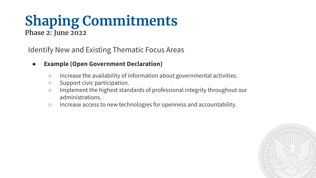### **Shaping Commitments Phase 2: June 2022**

Identify New and Existing Thematic Focus Areas

- **Example (Open Government Declaration)**
	- Increase the availability of information about governmental activities.
	- Support civic participation.
	- Implement the highest standards of professional integrity throughout our administrations.
	- Increase access to new technologies for openness and accountability.

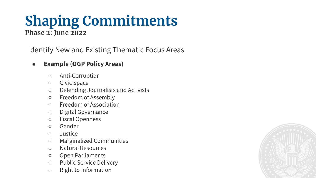### **Shaping Commitments Phase 2: June 2022**

Identify New and Existing Thematic Focus Areas

#### ● **Example (OGP Policy Areas)**

- Anti-Corruption
- Civic Space
- Defending Journalists and Activists
- Freedom of Assembly
- Freedom of Association
- Digital Governance
- Fiscal Openness
- Gender
- Justice
- Marginalized Communities
- Natural Resources
- Open Parliaments
- Public Service Delivery
- Right to Information

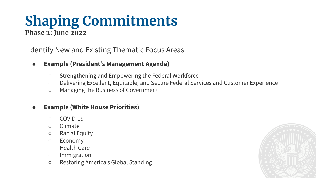### **Shaping Commitments Phase 2: June 2022**

Identify New and Existing Thematic Focus Areas

- **Example (President's Management Agenda)**
	- Strengthening and Empowering the Federal Workforce
	- Delivering Excellent, Equitable, and Secure Federal Services and Customer Experience
	- Managing the Business of Government

#### **Example (White House Priorities)**

- COVID-19
- Climate
- Racial Equity
- Economy
- Health Care
- Immigration
- Restoring America's Global Standing

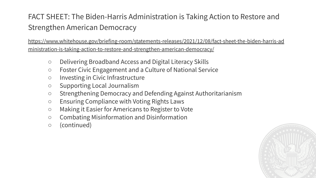#### FACT SHEET: The Biden-Harris Administration is Taking Action to Restore and Strengthen American Democracy

https://www.whitehouse.gov/briefing-room/statements-releases/2021/12/08/fact-sheet-the-biden-harris-ad ministration-is-taking-action-to-restore-and-strengthen-american-democracy/

- Delivering Broadband Access and Digital Literacy Skills
- Foster Civic Engagement and a Culture of National Service
- Investing in Civic Infrastructure
- Supporting Local Journalism
- Strengthening Democracy and Defending Against Authoritarianism
- Ensuring Compliance with Voting Rights Laws
- Making it Easier for Americans to Register to Vote
- Combating Misinformation and Disinformation
- (continued)

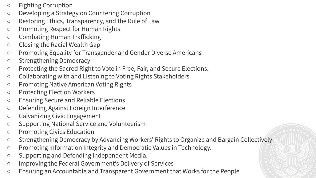- Fighting Corruption
- Developing a Strategy on Countering Corruption
- Restoring Ethics, Transparency, and the Rule of Law
- Promoting Respect for Human Rights
- Combating Human Trafficking
- Closing the Racial Wealth Gap
- Promoting Equality for Transgender and Gender Diverse Americans
- Strengthening Democracy
- Protecting the Sacred Right to Vote in Free, Fair, and Secure Elections.
- Collaborating with and Listening to Voting Rights Stakeholders
- Promoting Native American Voting Rights
- Protecting Election Workers
- Ensuring Secure and Reliable Elections
- Defending Against Foreign Interference
- Galvanizing Civic Engagement
- Supporting National Service and Volunteerism
- Promoting Civics Education
- Strengthening Democracy by Advancing Workers' Rights to Organize and Bargain Collectively
- Promoting Information Integrity and Democratic Values in Technology.
- Supporting and Defending Independent Media.
- Improving the Federal Government's Delivery of Services
- Ensuring an Accountable and Transparent Government that Works for the People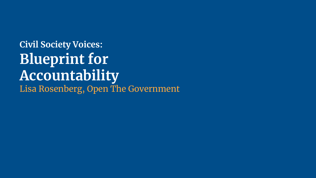### **Civil Society Voices: Blueprint for Accountability** Lisa Rosenberg, Open The Government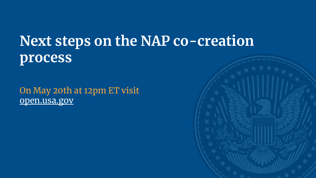## **Next steps on the NAP co-creation process**

On May 20th at 12pm ET visit open.usa.gov